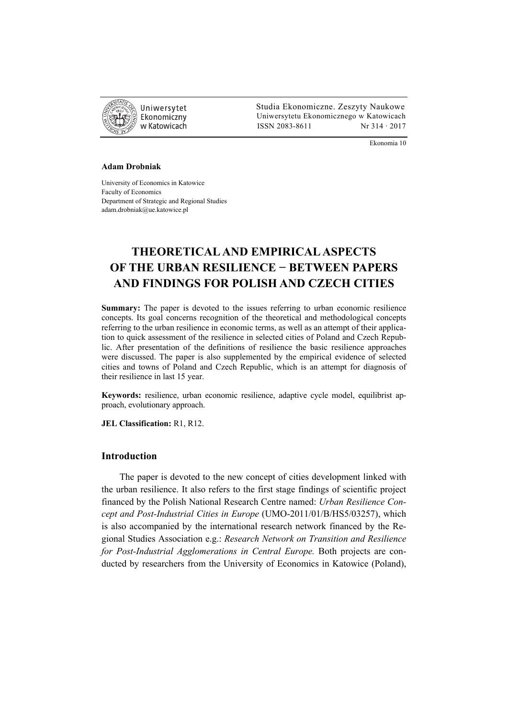

 Studia Ekonomiczne. Zeszyty Naukowe Ekonomiczny Uniwersytetu Ekonomicznego w Katowicach w Katowicach Matsus (ISSN 2083-8611 Nr 314 · 2017

Ekonomia 10

#### **Adam Drobniak**

University of Economics in Katowice Faculty of Economics Department of Strategic and Regional Studies adam.drobniak@ue.katowice.pl

# **THEORETICAL AND EMPIRICAL ASPECTS OF THE URBAN RESILIENCE − BETWEEN PAPERS AND FINDINGS FOR POLISH AND CZECH CITIES**

**Summary:** The paper is devoted to the issues referring to urban economic resilience concepts. Its goal concerns recognition of the theoretical and methodological concepts referring to the urban resilience in economic terms, as well as an attempt of their application to quick assessment of the resilience in selected cities of Poland and Czech Republic. After presentation of the definitions of resilience the basic resilience approaches were discussed. The paper is also supplemented by the empirical evidence of selected cities and towns of Poland and Czech Republic, which is an attempt for diagnosis of their resilience in last 15 year.

**Keywords:** resilience, urban economic resilience, adaptive cycle model, equilibrist approach, evolutionary approach.

**JEL Classification:** R1, R12.

# **Introduction**

The paper is devoted to the new concept of cities development linked with the urban resilience. It also refers to the first stage findings of scientific project financed by the Polish National Research Centre named: *Urban Resilience Concept and Post-Industrial Cities in Europe* (UMO-2011/01/B/HS5/03257), which is also accompanied by the international research network financed by the Regional Studies Association e.g.: *Research Network on Transition and Resilience for Post-Industrial Agglomerations in Central Europe.* Both projects are conducted by researchers from the University of Economics in Katowice (Poland),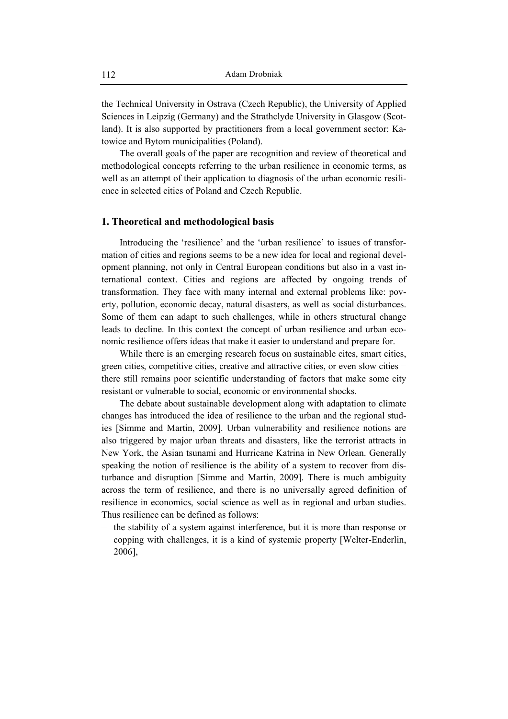the Technical University in Ostrava (Czech Republic), the University of Applied Sciences in Leipzig (Germany) and the Strathclyde University in Glasgow (Scotland). It is also supported by practitioners from a local government sector: Katowice and Bytom municipalities (Poland).

The overall goals of the paper are recognition and review of theoretical and methodological concepts referring to the urban resilience in economic terms, as well as an attempt of their application to diagnosis of the urban economic resilience in selected cities of Poland and Czech Republic.

# **1. Theoretical and methodological basis**

Introducing the 'resilience' and the 'urban resilience' to issues of transformation of cities and regions seems to be a new idea for local and regional development planning, not only in Central European conditions but also in a vast international context. Cities and regions are affected by ongoing trends of transformation. They face with many internal and external problems like: poverty, pollution, economic decay, natural disasters, as well as social disturbances. Some of them can adapt to such challenges, while in others structural change leads to decline. In this context the concept of urban resilience and urban economic resilience offers ideas that make it easier to understand and prepare for.

While there is an emerging research focus on sustainable cites, smart cities, green cities, competitive cities, creative and attractive cities, or even slow cities − there still remains poor scientific understanding of factors that make some city resistant or vulnerable to social, economic or environmental shocks.

The debate about sustainable development along with adaptation to climate changes has introduced the idea of resilience to the urban and the regional studies [Simme and Martin, 2009]. Urban vulnerability and resilience notions are also triggered by major urban threats and disasters, like the terrorist attracts in New York, the Asian tsunami and Hurricane Katrina in New Orlean. Generally speaking the notion of resilience is the ability of a system to recover from disturbance and disruption [Simme and Martin, 2009]. There is much ambiguity across the term of resilience, and there is no universally agreed definition of resilience in economics, social science as well as in regional and urban studies. Thus resilience can be defined as follows:

the stability of a system against interference, but it is more than response or copping with challenges, it is a kind of systemic property [Welter-Enderlin, 2006],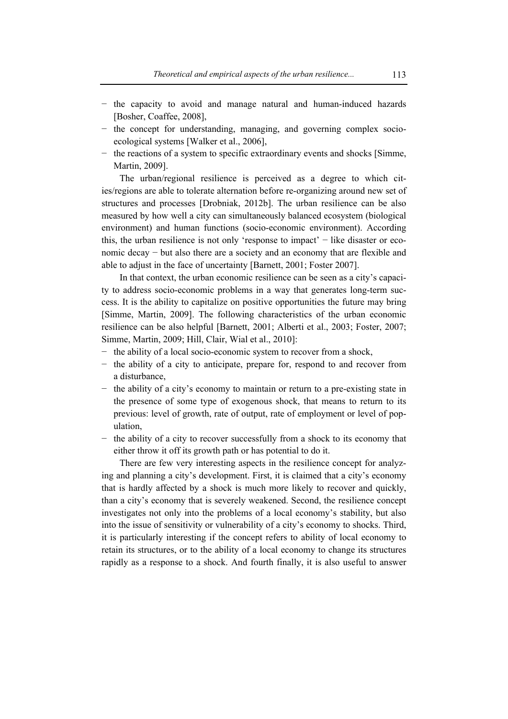- − the capacity to avoid and manage natural and human-induced hazards [Bosher, Coaffee, 2008],
- − the concept for understanding, managing, and governing complex socioecological systems [Walker et al., 2006],
- − the reactions of a system to specific extraordinary events and shocks [Simme, Martin, 2009].

The urban/regional resilience is perceived as a degree to which cities/regions are able to tolerate alternation before re-organizing around new set of structures and processes [Drobniak, 2012b]. The urban resilience can be also measured by how well a city can simultaneously balanced ecosystem (biological environment) and human functions (socio-economic environment). According this, the urban resilience is not only 'response to impact' − like disaster or economic decay – but also there are a society and an economy that are flexible and able to adjust in the face of uncertainty [Barnett, 2001; Foster 2007].

In that context, the urban economic resilience can be seen as a city's capacity to address socio-economic problems in a way that generates long-term success. It is the ability to capitalize on positive opportunities the future may bring [Simme, Martin, 2009]. The following characteristics of the urban economic resilience can be also helpful [Barnett, 2001; Alberti et al., 2003; Foster, 2007; Simme, Martin, 2009; Hill, Clair, Wial et al., 2010]:

- − the ability of a local socio-economic system to recover from a shock,
- − the ability of a city to anticipate, prepare for, respond to and recover from a disturbance,
- − the ability of a city's economy to maintain or return to a pre-existing state in the presence of some type of exogenous shock, that means to return to its previous: level of growth, rate of output, rate of employment or level of population,
- the ability of a city to recover successfully from a shock to its economy that either throw it off its growth path or has potential to do it.

There are few very interesting aspects in the resilience concept for analyzing and planning a city's development. First, it is claimed that a city's economy that is hardly affected by a shock is much more likely to recover and quickly, than a city's economy that is severely weakened. Second, the resilience concept investigates not only into the problems of a local economy's stability, but also into the issue of sensitivity or vulnerability of a city's economy to shocks. Third, it is particularly interesting if the concept refers to ability of local economy to retain its structures, or to the ability of a local economy to change its structures rapidly as a response to a shock. And fourth finally, it is also useful to answer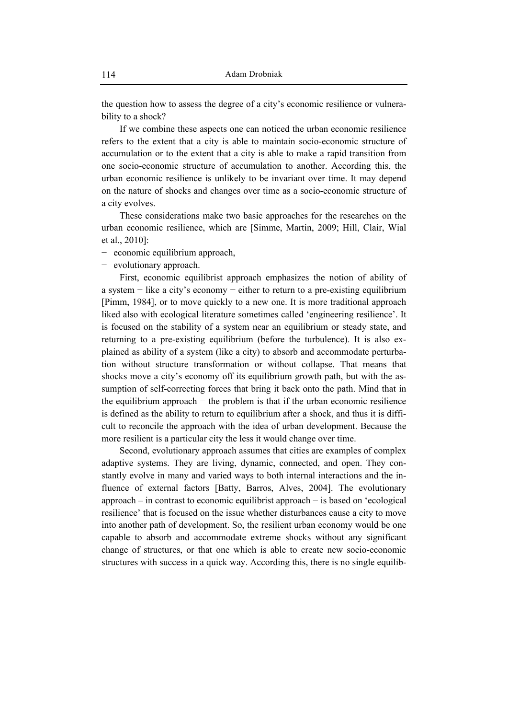the question how to assess the degree of a city's economic resilience or vulnerability to a shock?

If we combine these aspects one can noticed the urban economic resilience refers to the extent that a city is able to maintain socio-economic structure of accumulation or to the extent that a city is able to make a rapid transition from one socio-economic structure of accumulation to another. According this, the urban economic resilience is unlikely to be invariant over time. It may depend on the nature of shocks and changes over time as a socio-economic structure of a city evolves.

These considerations make two basic approaches for the researches on the urban economic resilience, which are [Simme, Martin, 2009; Hill, Clair, Wial et al., 2010]:

− economic equilibrium approach,

− evolutionary approach.

First, economic equilibrist approach emphasizes the notion of ability of a system − like a city's economy − either to return to a pre-existing equilibrium [Pimm, 1984], or to move quickly to a new one. It is more traditional approach liked also with ecological literature sometimes called 'engineering resilience'. It is focused on the stability of a system near an equilibrium or steady state, and returning to a pre-existing equilibrium (before the turbulence). It is also explained as ability of a system (like a city) to absorb and accommodate perturbation without structure transformation or without collapse. That means that shocks move a city's economy off its equilibrium growth path, but with the assumption of self-correcting forces that bring it back onto the path. Mind that in the equilibrium approach − the problem is that if the urban economic resilience is defined as the ability to return to equilibrium after a shock, and thus it is difficult to reconcile the approach with the idea of urban development. Because the more resilient is a particular city the less it would change over time.

Second, evolutionary approach assumes that cities are examples of complex adaptive systems. They are living, dynamic, connected, and open. They constantly evolve in many and varied ways to both internal interactions and the influence of external factors [Batty, Barros, Alves, 2004]. The evolutionary approach – in contrast to economic equilibrist approach − is based on 'ecological resilience' that is focused on the issue whether disturbances cause a city to move into another path of development. So, the resilient urban economy would be one capable to absorb and accommodate extreme shocks without any significant change of structures, or that one which is able to create new socio-economic structures with success in a quick way. According this, there is no single equilib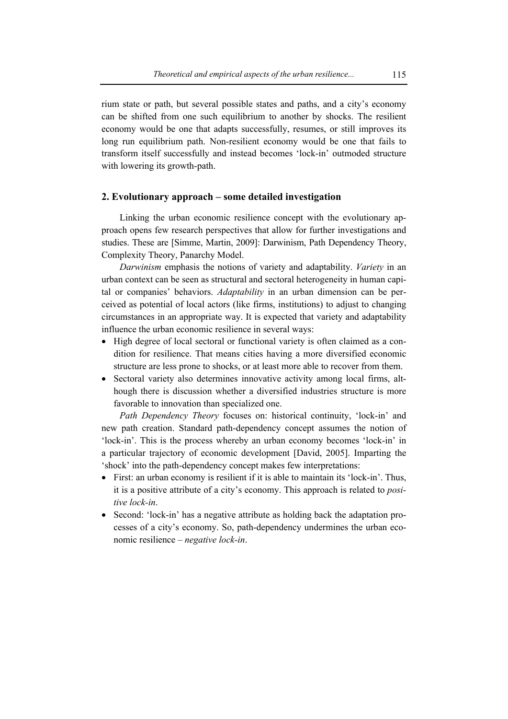rium state or path, but several possible states and paths, and a city's economy can be shifted from one such equilibrium to another by shocks. The resilient economy would be one that adapts successfully, resumes, or still improves its long run equilibrium path. Non-resilient economy would be one that fails to transform itself successfully and instead becomes 'lock-in' outmoded structure with lowering its growth-path.

# **2. Evolutionary approach – some detailed investigation**

Linking the urban economic resilience concept with the evolutionary approach opens few research perspectives that allow for further investigations and studies. These are [Simme, Martin, 2009]: Darwinism, Path Dependency Theory, Complexity Theory, Panarchy Model.

*Darwinism* emphasis the notions of variety and adaptability. *Variety* in an urban context can be seen as structural and sectoral heterogeneity in human capital or companies' behaviors. *Adaptability* in an urban dimension can be perceived as potential of local actors (like firms, institutions) to adjust to changing circumstances in an appropriate way. It is expected that variety and adaptability influence the urban economic resilience in several ways:

- High degree of local sectoral or functional variety is often claimed as a condition for resilience. That means cities having a more diversified economic structure are less prone to shocks, or at least more able to recover from them.
- Sectoral variety also determines innovative activity among local firms, although there is discussion whether a diversified industries structure is more favorable to innovation than specialized one.

*Path Dependency Theory* focuses on: historical continuity, 'lock-in' and new path creation. Standard path-dependency concept assumes the notion of 'lock-in'. This is the process whereby an urban economy becomes 'lock-in' in a particular trajectory of economic development [David, 2005]. Imparting the 'shock' into the path-dependency concept makes few interpretations:

- First: an urban economy is resilient if it is able to maintain its 'lock-in'. Thus, it is a positive attribute of a city's economy. This approach is related to *positive lock-in*.
- Second: 'lock-in' has a negative attribute as holding back the adaptation processes of a city's economy. So, path-dependency undermines the urban economic resilience – *negative lock-in*.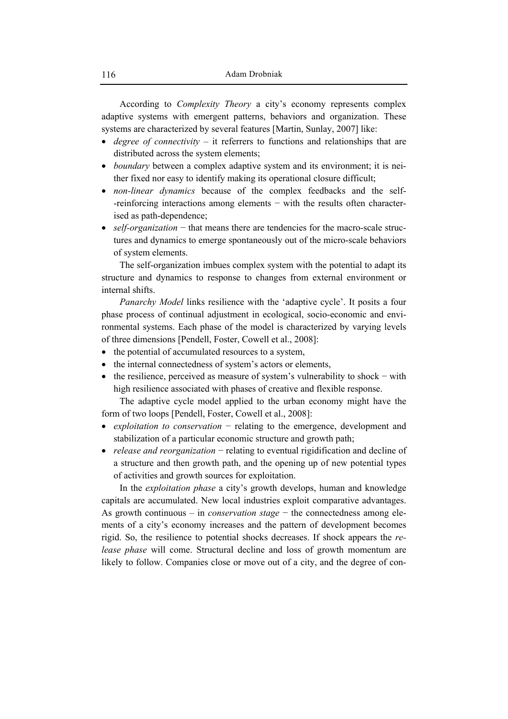According to *Complexity Theory* a city's economy represents complex adaptive systems with emergent patterns, behaviors and organization. These systems are characterized by several features [Martin, Sunlay, 2007] like:

- *degree of connectivity* it referrers to functions and relationships that are distributed across the system elements;
- *boundary* between a complex adaptive system and its environment; it is neither fixed nor easy to identify making its operational closure difficult;
- *non-linear dynamics* because of the complex feedbacks and the self- -reinforcing interactions among elements − with the results often characterised as path-dependence;
- *self-organization* − that means there are tendencies for the macro-scale structures and dynamics to emerge spontaneously out of the micro-scale behaviors of system elements.

The self-organization imbues complex system with the potential to adapt its structure and dynamics to response to changes from external environment or internal shifts.

*Panarchy Model* links resilience with the 'adaptive cycle'. It posits a four phase process of continual adjustment in ecological, socio-economic and environmental systems. Each phase of the model is characterized by varying levels of three dimensions [Pendell, Foster, Cowell et al., 2008]:

- the potential of accumulated resources to a system,
- the internal connectedness of system's actors or elements,
- the resilience, perceived as measure of system's vulnerability to shock with high resilience associated with phases of creative and flexible response.

The adaptive cycle model applied to the urban economy might have the form of two loops [Pendell, Foster, Cowell et al., 2008]:

- *exploitation to conservation* − relating to the emergence, development and stabilization of a particular economic structure and growth path;
- *release and reorganization* − relating to eventual rigidification and decline of a structure and then growth path, and the opening up of new potential types of activities and growth sources for exploitation.

In the *exploitation phase* a city's growth develops, human and knowledge capitals are accumulated. New local industries exploit comparative advantages. As growth continuous – in *conservation stage* − the connectedness among elements of a city's economy increases and the pattern of development becomes rigid. So, the resilience to potential shocks decreases. If shock appears the *release phase* will come. Structural decline and loss of growth momentum are likely to follow. Companies close or move out of a city, and the degree of con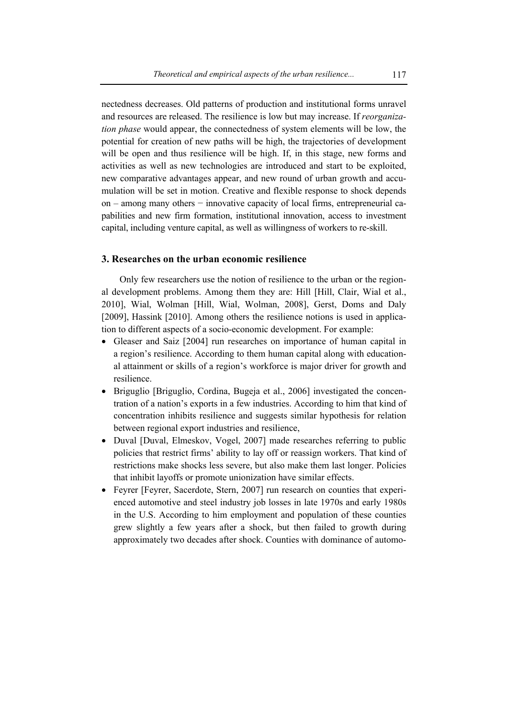nectedness decreases. Old patterns of production and institutional forms unravel and resources are released. The resilience is low but may increase. If *reorganization phase* would appear, the connectedness of system elements will be low, the potential for creation of new paths will be high, the trajectories of development will be open and thus resilience will be high. If, in this stage, new forms and activities as well as new technologies are introduced and start to be exploited, new comparative advantages appear, and new round of urban growth and accumulation will be set in motion. Creative and flexible response to shock depends on – among many others – innovative capacity of local firms, entrepreneurial capabilities and new firm formation, institutional innovation, access to investment capital, including venture capital, as well as willingness of workers to re-skill.

# **3. Researches on the urban economic resilience**

Only few researchers use the notion of resilience to the urban or the regional development problems. Among them they are: Hill [Hill, Clair, Wial et al., 2010], Wial, Wolman [Hill, Wial, Wolman, 2008], Gerst, Doms and Daly [2009], Hassink [2010]. Among others the resilience notions is used in application to different aspects of a socio-economic development. For example:

- Gleaser and Saiz [2004] run researches on importance of human capital in a region's resilience. According to them human capital along with educational attainment or skills of a region's workforce is major driver for growth and resilience.
- Briguglio [Briguglio, Cordina, Bugeja et al., 2006] investigated the concentration of a nation's exports in a few industries. According to him that kind of concentration inhibits resilience and suggests similar hypothesis for relation between regional export industries and resilience,
- Duval [Duval, Elmeskov, Vogel, 2007] made researches referring to public policies that restrict firms' ability to lay off or reassign workers. That kind of restrictions make shocks less severe, but also make them last longer. Policies that inhibit layoffs or promote unionization have similar effects.
- Feyrer [Feyrer, Sacerdote, Stern, 2007] run research on counties that experienced automotive and steel industry job losses in late 1970s and early 1980s in the U.S. According to him employment and population of these counties grew slightly a few years after a shock, but then failed to growth during approximately two decades after shock. Counties with dominance of automo-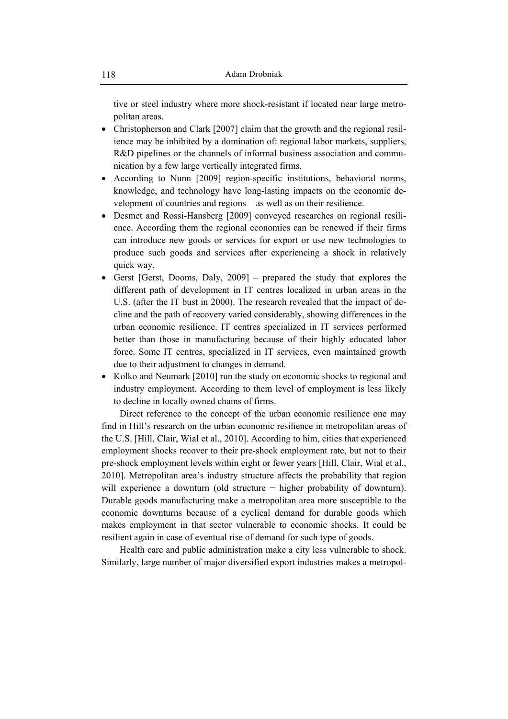tive or steel industry where more shock-resistant if located near large metropolitan areas.

- Christopherson and Clark [2007] claim that the growth and the regional resilience may be inhibited by a domination of: regional labor markets, suppliers, R&D pipelines or the channels of informal business association and communication by a few large vertically integrated firms.
- According to Nunn [2009] region-specific institutions, behavioral norms, knowledge, and technology have long-lasting impacts on the economic development of countries and regions − as well as on their resilience.
- Desmet and Rossi-Hansberg [2009] conveyed researches on regional resilience. According them the regional economies can be renewed if their firms can introduce new goods or services for export or use new technologies to produce such goods and services after experiencing a shock in relatively quick way.
- Gerst [Gerst, Dooms, Daly, 2009] prepared the study that explores the different path of development in IT centres localized in urban areas in the U.S. (after the IT bust in 2000). The research revealed that the impact of decline and the path of recovery varied considerably, showing differences in the urban economic resilience. IT centres specialized in IT services performed better than those in manufacturing because of their highly educated labor force. Some IT centres, specialized in IT services, even maintained growth due to their adjustment to changes in demand.
- Kolko and Neumark [2010] run the study on economic shocks to regional and industry employment. According to them level of employment is less likely to decline in locally owned chains of firms.

Direct reference to the concept of the urban economic resilience one may find in Hill's research on the urban economic resilience in metropolitan areas of the U.S. [Hill, Clair, Wial et al., 2010]. According to him, cities that experienced employment shocks recover to their pre-shock employment rate, but not to their pre-shock employment levels within eight or fewer years [Hill, Clair, Wial et al., 2010]. Metropolitan area's industry structure affects the probability that region will experience a downturn (old structure − higher probability of downturn). Durable goods manufacturing make a metropolitan area more susceptible to the economic downturns because of a cyclical demand for durable goods which makes employment in that sector vulnerable to economic shocks. It could be resilient again in case of eventual rise of demand for such type of goods.

Health care and public administration make a city less vulnerable to shock. Similarly, large number of major diversified export industries makes a metropol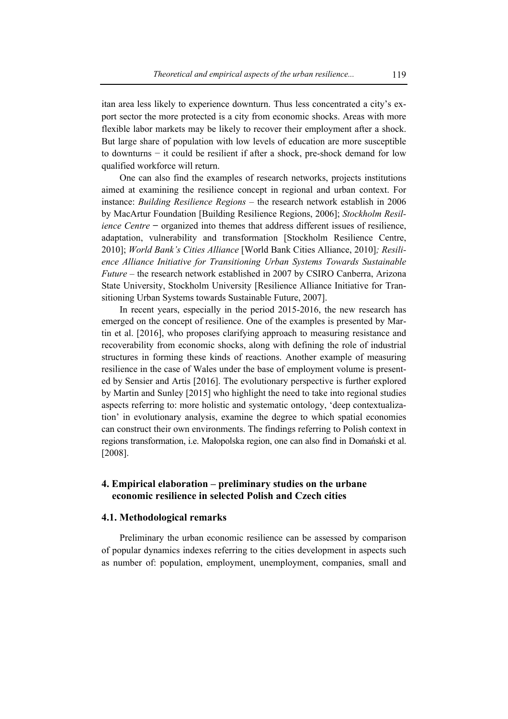itan area less likely to experience downturn. Thus less concentrated a city's export sector the more protected is a city from economic shocks. Areas with more flexible labor markets may be likely to recover their employment after a shock. But large share of population with low levels of education are more susceptible to downturns − it could be resilient if after a shock, pre-shock demand for low qualified workforce will return.

One can also find the examples of research networks, projects institutions aimed at examining the resilience concept in regional and urban context. For instance: *Building Resilience Regions* – the research network establish in 2006 by MacArtur Foundation [Building Resilience Regions, 2006]; *Stockholm Resilience Centre* − organized into themes that address different issues of resilience, adaptation, vulnerability and transformation [Stockholm Resilience Centre, 2010]; *World Bank's Cities Alliance* [World Bank Cities Alliance, 2010]*; Resilience Alliance Initiative for Transitioning Urban Systems Towards Sustainable Future* – the research network established in 2007 by CSIRO Canberra, Arizona State University, Stockholm University [Resilience Alliance Initiative for Transitioning Urban Systems towards Sustainable Future, 2007].

In recent years, especially in the period 2015-2016, the new research has emerged on the concept of resilience. One of the examples is presented by Martin et al. [2016], who proposes clarifying approach to measuring resistance and recoverability from economic shocks, along with defining the role of industrial structures in forming these kinds of reactions. Another example of measuring resilience in the case of Wales under the base of employment volume is presented by Sensier and Artis [2016]. The evolutionary perspective is further explored by Martin and Sunley [2015] who highlight the need to take into regional studies aspects referring to: more holistic and systematic ontology, 'deep contextualization' in evolutionary analysis, examine the degree to which spatial economies can construct their own environments. The findings referring to Polish context in regions transformation, i.e. Małopolska region, one can also find in Domański et al. [2008].

# **4. Empirical elaboration – preliminary studies on the urbane economic resilience in selected Polish and Czech cities**

### **4.1. Methodological remarks**

Preliminary the urban economic resilience can be assessed by comparison of popular dynamics indexes referring to the cities development in aspects such as number of: population, employment, unemployment, companies, small and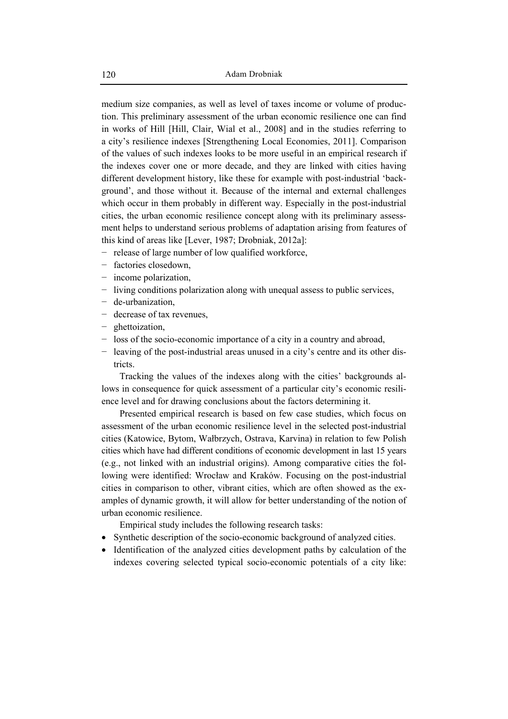medium size companies, as well as level of taxes income or volume of production. This preliminary assessment of the urban economic resilience one can find in works of Hill [Hill, Clair, Wial et al., 2008] and in the studies referring to a city's resilience indexes [Strengthening Local Economies, 2011]. Comparison of the values of such indexes looks to be more useful in an empirical research if the indexes cover one or more decade, and they are linked with cities having different development history, like these for example with post-industrial 'background', and those without it. Because of the internal and external challenges which occur in them probably in different way. Especially in the post-industrial cities, the urban economic resilience concept along with its preliminary assessment helps to understand serious problems of adaptation arising from features of this kind of areas like [Lever, 1987; Drobniak, 2012a]:

- − release of large number of low qualified workforce,
- − factories closedown,
- − income polarization,
- − living conditions polarization along with unequal assess to public services,
- − de-urbanization,
- − decrease of tax revenues,
- − ghettoization,
- − loss of the socio-economic importance of a city in a country and abroad,
- − leaving of the post-industrial areas unused in a city's centre and its other districts.

Tracking the values of the indexes along with the cities' backgrounds allows in consequence for quick assessment of a particular city's economic resilience level and for drawing conclusions about the factors determining it.

Presented empirical research is based on few case studies, which focus on assessment of the urban economic resilience level in the selected post-industrial cities (Katowice, Bytom, Wałbrzych, Ostrava, Karvina) in relation to few Polish cities which have had different conditions of economic development in last 15 years (e.g., not linked with an industrial origins). Among comparative cities the following were identified: Wrocław and Kraków. Focusing on the post-industrial cities in comparison to other, vibrant cities, which are often showed as the examples of dynamic growth, it will allow for better understanding of the notion of urban economic resilience.

Empirical study includes the following research tasks:

- Synthetic description of the socio-economic background of analyzed cities.
- Identification of the analyzed cities development paths by calculation of the indexes covering selected typical socio-economic potentials of a city like: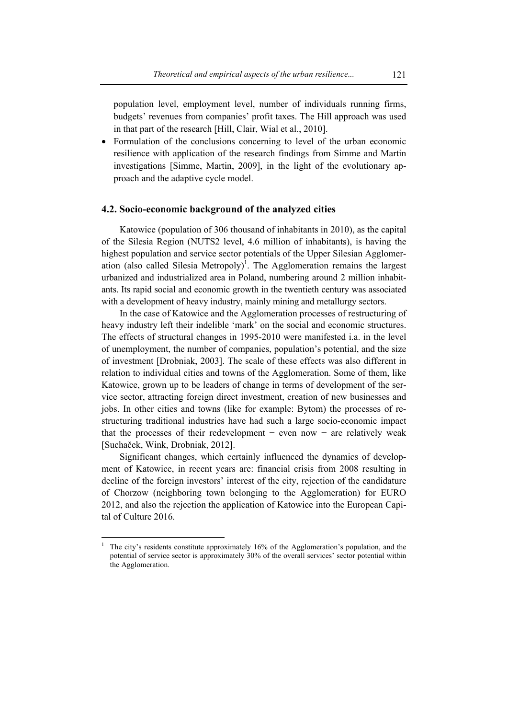population level, employment level, number of individuals running firms, budgets' revenues from companies' profit taxes. The Hill approach was used in that part of the research [Hill, Clair, Wial et al., 2010].

• Formulation of the conclusions concerning to level of the urban economic resilience with application of the research findings from Simme and Martin investigations [Simme, Martin, 2009], in the light of the evolutionary approach and the adaptive cycle model.

# **4.2. Socio-economic background of the analyzed cities**

Katowice (population of 306 thousand of inhabitants in 2010), as the capital of the Silesia Region (NUTS2 level, 4.6 million of inhabitants), is having the highest population and service sector potentials of the Upper Silesian Agglomeration (also called Silesia Metropoly)<sup>1</sup>. The Agglomeration remains the largest urbanized and industrialized area in Poland, numbering around 2 million inhabitants. Its rapid social and economic growth in the twentieth century was associated with a development of heavy industry, mainly mining and metallurgy sectors.

In the case of Katowice and the Agglomeration processes of restructuring of heavy industry left their indelible 'mark' on the social and economic structures. The effects of structural changes in 1995-2010 were manifested i.a. in the level of unemployment, the number of companies, population's potential, and the size of investment [Drobniak, 2003]. The scale of these effects was also different in relation to individual cities and towns of the Agglomeration. Some of them, like Katowice, grown up to be leaders of change in terms of development of the service sector, attracting foreign direct investment, creation of new businesses and jobs. In other cities and towns (like for example: Bytom) the processes of restructuring traditional industries have had such a large socio-economic impact that the processes of their redevelopment − even now − are relatively weak [Suchaček, Wink, Drobniak, 2012].

Significant changes, which certainly influenced the dynamics of development of Katowice, in recent years are: financial crisis from 2008 resulting in decline of the foreign investors' interest of the city, rejection of the candidature of Chorzow (neighboring town belonging to the Agglomeration) for EURO 2012, and also the rejection the application of Katowice into the European Capital of Culture 2016.

<sup>&</sup>lt;sup>1</sup> The city's residents constitute approximately 16% of the Agglomeration's population, and the potential of service sector is approximately 30% of the overall services' sector potential within the Agglomeration.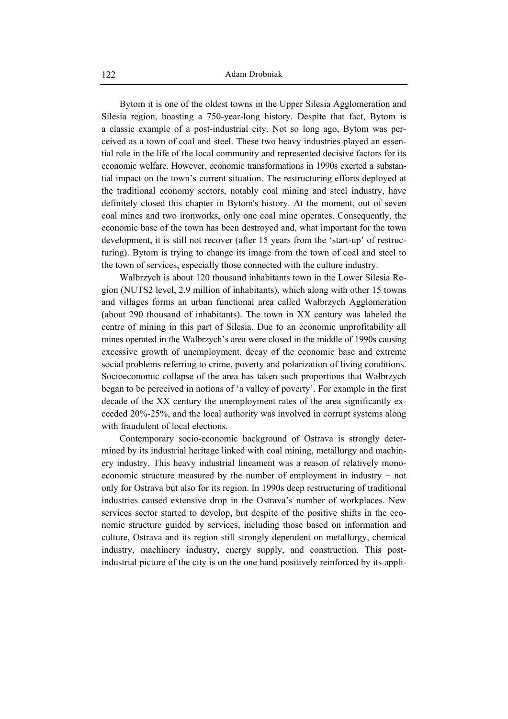Bytom it is one of the oldest towns in the Upper Silesia Agglomeration and Silesia region, boasting a 750-year-long history. Despite that fact, Bytom is a classic example of a post-industrial city. Not so long ago, Bytom was perceived as a town of coal and steel. These two heavy industries played an essential role in the life of the local community and represented decisive factors for its economic welfare. However, economic transformations in 1990s exerted a substantial impact on the town's current situation. The restructuring efforts deployed at the traditional economy sectors, notably coal mining and steel industry, have definitely closed this chapter in Bytom's history. At the moment, out of seven coal mines and two ironworks, only one coal mine operates. Consequently, the economic base of the town has been destroyed and, what important for the town development, it is still not recover (after 15 years from the 'start-up' of restructuring). Bytom is trying to change its image from the town of coal and steel to the town of services, especially those connected with the culture industry.

Wałbrzych is about 120 thousand inhabitants town in the Lower Silesia Region (NUTS2 level, 2.9 million of inhabitants), which along with other 15 towns and villages forms an urban functional area called Wałbrzych Agglomeration (about 290 thousand of inhabitants). The town in XX century was labeled the centre of mining in this part of Silesia. Due to an economic unprofitability all mines operated in the Walbrzych's area were closed in the middle of 1990s causing excessive growth of unemployment, decay of the economic base and extreme social problems referring to crime, poverty and polarization of living conditions. Socioeconomic collapse of the area has taken such proportions that Wałbrzych began to be perceived in notions of 'a valley of poverty'. For example in the first decade of the XX century the unemployment rates of the area significantly exceeded 20%-25%, and the local authority was involved in corrupt systems along with fraudulent of local elections.

Contemporary socio-economic background of Ostrava is strongly determined by its industrial heritage linked with coal mining, metallurgy and machinery industry. This heavy industrial lineament was a reason of relatively monoeconomic structure measured by the number of employment in industry − not only for Ostrava but also for its region. In 1990s deep restructuring of traditional industries caused extensive drop in the Ostrava's number of workplaces. New services sector started to develop, but despite of the positive shifts in the economic structure guided by services, including those based on information and culture, Ostrava and its region still strongly dependent on metallurgy, chemical industry, machinery industry, energy supply, and construction. This postindustrial picture of the city is on the one hand positively reinforced by its appli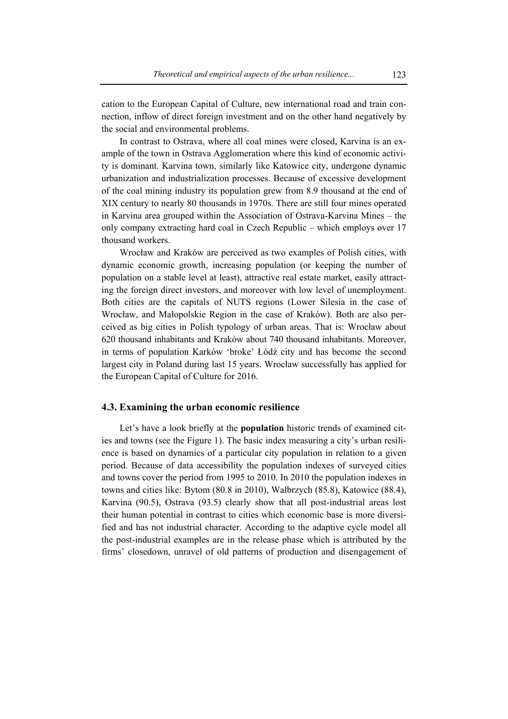cation to the European Capital of Culture, new international road and train connection, inflow of direct foreign investment and on the other hand negatively by the social and environmental problems.

In contrast to Ostrava, where all coal mines were closed, Karvina is an example of the town in Ostrava Agglomeration where this kind of economic activity is dominant. Karvina town, similarly like Katowice city, undergone dynamic urbanization and industrialization processes. Because of excessive development of the coal mining industry its population grew from 8.9 thousand at the end of XIX century to nearly 80 thousands in 1970s. There are still four mines operated in Karvina area grouped within the Association of Ostrava-Karvina Mines – the only company extracting hard coal in Czech Republic – which employs over 17 thousand workers.

Wrocław and Kraków are perceived as two examples of Polish cities, with dynamic economic growth, increasing population (or keeping the number of population on a stable level at least), attractive real estate market, easily attracting the foreign direct investors, and moreover with low level of unemployment. Both cities are the capitals of NUTS regions (Lower Silesia in the case of Wrocław, and Małopolskie Region in the case of Kraków). Both are also perceived as big cities in Polish typology of urban areas. That is: Wrocław about 620 thousand inhabitants and Kraków about 740 thousand inhabitants. Moreover, in terms of population Karków 'broke' Łódź city and has become the second largest city in Poland during last 15 years. Wrocław successfully has applied for the European Capital of Culture for 2016.

# **4.3. Examining the urban economic resilience**

Let's have a look briefly at the **population** historic trends of examined cities and towns (see the Figure 1). The basic index measuring a city's urban resilience is based on dynamics of a particular city population in relation to a given period. Because of data accessibility the population indexes of surveyed cities and towns cover the period from 1995 to 2010. In 2010 the population indexes in towns and cities like: Bytom (80.8 in 2010), Wałbrzych (85.8), Katowice (88.4), Karvina (90.5), Ostrava (93.5) clearly show that all post-industrial areas lost their human potential in contrast to cities which economic base is more diversified and has not industrial character. According to the adaptive cycle model all the post-industrial examples are in the release phase which is attributed by the firms' closedown, unravel of old patterns of production and disengagement of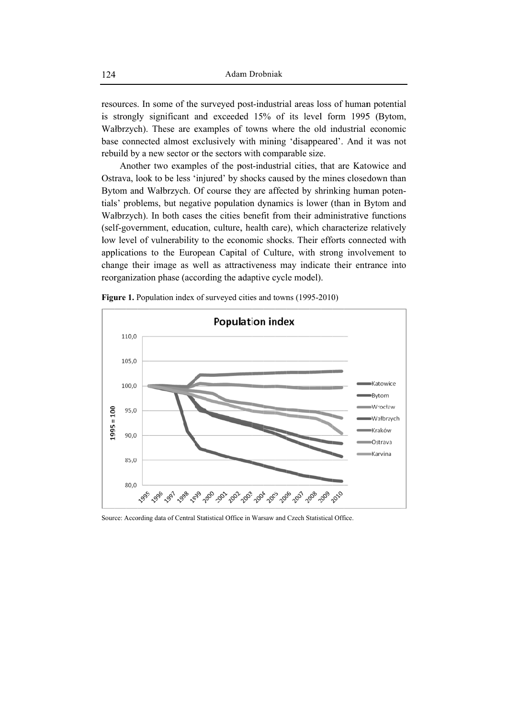resources. In some of the surveyed post-industrial areas loss of human potential is strongly significant and exceeded 15% of its level form 1995 (Bytom, Walbrzych). These are examples of towns where the old industrial economic base connected almost exclusively with mining 'disappeared'. And it was not rebuild by a new sector or the sectors with comparable size.

Another two examples of the post-industrial cities, that are Katowice and Ostrava, look to be less 'injured' by shocks caused by the mines closedown than Bytom and Wałbrzych. Of course they are affected by shrinking human potentials' problems, but negative population dynamics is lower (than in Bytom and Walbrzych). In both cases the cities benefit from their administrative functions (self-government, education, culture, health care), which characterize relatively low level of vulnerability to the economic shocks. Their efforts connected with applications to the European Capital of Culture, with strong involvement to change their image as well as attractiveness may indicate their entrance into reorganization phase (according the adaptive cycle model).



**Figure 1.** Population index of surveyed cities and towns (1995-2010)

Source: According data of Central Statistical Office in Warsaw and Czech Statistical Office.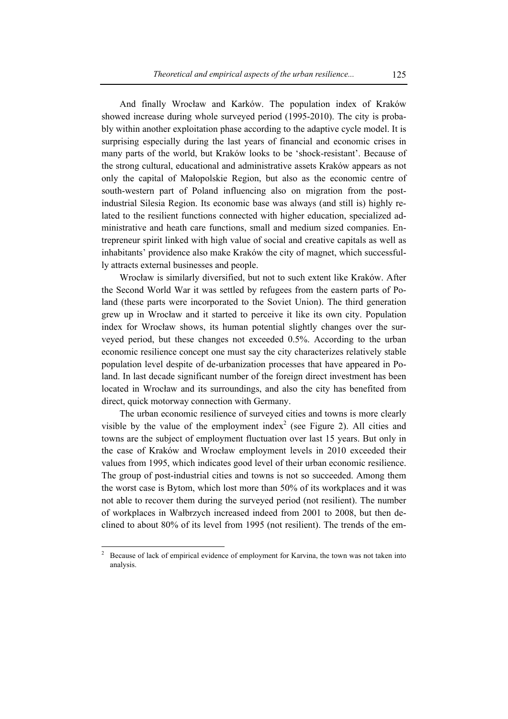And finally Wrocław and Karków. The population index of Kraków showed increase during whole surveyed period (1995-2010). The city is probably within another exploitation phase according to the adaptive cycle model. It is surprising especially during the last years of financial and economic crises in many parts of the world, but Kraków looks to be 'shock-resistant'. Because of the strong cultural, educational and administrative assets Kraków appears as not only the capital of Małopolskie Region, but also as the economic centre of south-western part of Poland influencing also on migration from the postindustrial Silesia Region. Its economic base was always (and still is) highly related to the resilient functions connected with higher education, specialized administrative and heath care functions, small and medium sized companies. Entrepreneur spirit linked with high value of social and creative capitals as well as inhabitants' providence also make Kraków the city of magnet, which successfully attracts external businesses and people.

Wrocław is similarly diversified, but not to such extent like Kraków. After the Second World War it was settled by refugees from the eastern parts of Poland (these parts were incorporated to the Soviet Union). The third generation grew up in Wrocław and it started to perceive it like its own city. Population index for Wrocław shows, its human potential slightly changes over the surveyed period, but these changes not exceeded 0.5%. According to the urban economic resilience concept one must say the city characterizes relatively stable population level despite of de-urbanization processes that have appeared in Poland. In last decade significant number of the foreign direct investment has been located in Wrocław and its surroundings, and also the city has benefited from direct, quick motorway connection with Germany.

The urban economic resilience of surveyed cities and towns is more clearly visible by the value of the employment index<sup>2</sup> (see Figure 2). All cities and towns are the subject of employment fluctuation over last 15 years. But only in the case of Kraków and Wrocław employment levels in 2010 exceeded their values from 1995, which indicates good level of their urban economic resilience. The group of post-industrial cities and towns is not so succeeded. Among them the worst case is Bytom, which lost more than 50% of its workplaces and it was not able to recover them during the surveyed period (not resilient). The number of workplaces in Wałbrzych increased indeed from 2001 to 2008, but then declined to about 80% of its level from 1995 (not resilient). The trends of the em-

 $\overline{a}$ 

<sup>2</sup> Because of lack of empirical evidence of employment for Karvina, the town was not taken into analysis.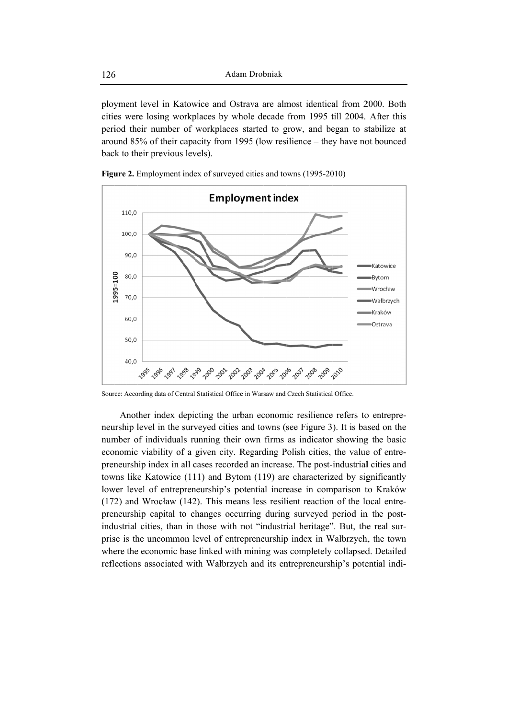ployment level in Katowice and Ostrava are almost identical from 2000. Both cities were losing workplaces by whole decade from 1995 till 2004. After this period their number of workplaces started to grow, and began to stabilize at around 85% of their capacity from 1995 (low resilience – they have not bounced back to their previous levels).



Figure 2. Employment index of surveyed cities and towns (1995-2010)



Source: According data of Central Statistical Office in Warsaw and Czech Statistical Office.

Another index depicting the urban economic resilience refers to entrepreneurship level in the surveyed cities and towns (see Figure 3). It is based on the number of individuals running their own firms as indicator showing the basic economic viability of a given city. Regarding Polish cities, the value of entrepreneurship index in all cases recorded an increase. The post-industrial cities and towns like Katowice (111) and Bytom (119) are characterized by significantly lower level of entrepreneurship's potential increase in comparison to Kraków  $(172)$  and Wrocław  $(142)$ . This means less resilient reaction of the local entrepreneurship capital to changes occurring during surveyed period in the postindustrial cities, than in those with not "industrial heritage". But, the real surprise is the uncommon level of entrepreneurship index in Walbrzych, the town where the economic base linked with mining was completely collapsed. Detailed reflections associated with Wałbrzych and its entrepreneurship's potential indi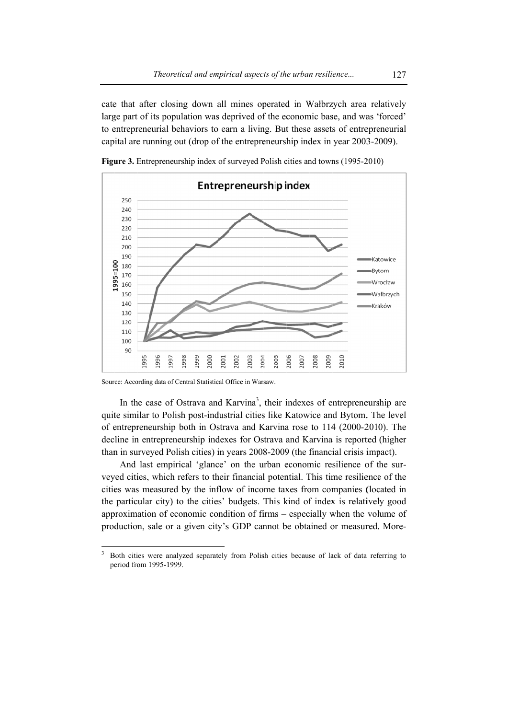cate that after closing down all mines operated in Walbrzych area relatively large part of its population was deprived of the economic base, and was 'forced' to entrepreneurial behaviors to earn a living. But these assets of entrepreneurial capital are running out (drop of the entrepreneurship index in year 2003-2009).



Figure 3. Entrepreneurship index of surveyed Polish cities and towns (1995-2010)

Source: According data of Central Statistical Office in Warsaw.

In the case of Ostrava and Karvina<sup>3</sup>, their indexes of entrepreneurship are quite similar to Polish post-industrial cities like Katowice and Bytom. The level of entrepreneurship both in Ostrava and Karvina rose to 114 (2000-2010). The decline in entrepreneurship indexes for Ostrava and Karvina is reported (higher than in surveyed Polish cities) in years 2008-2009 (the financial crisis impact).

And last empirical 'glance' on the urban economic resilience of the surveyed cities, which refers to their financial potential. This time resilience of the cities was measured by the inflow of income taxes from companies (located in the particular city) to the cities' budgets. This kind of index is relatively good approximation of economic condition of firms – especially when the volume of production, sale or a given city's GDP cannot be obtained or measured. More-

<sup>3</sup> Both cities were analyzed separately from Polish cities because of lack of data referring to period from 1995-1999.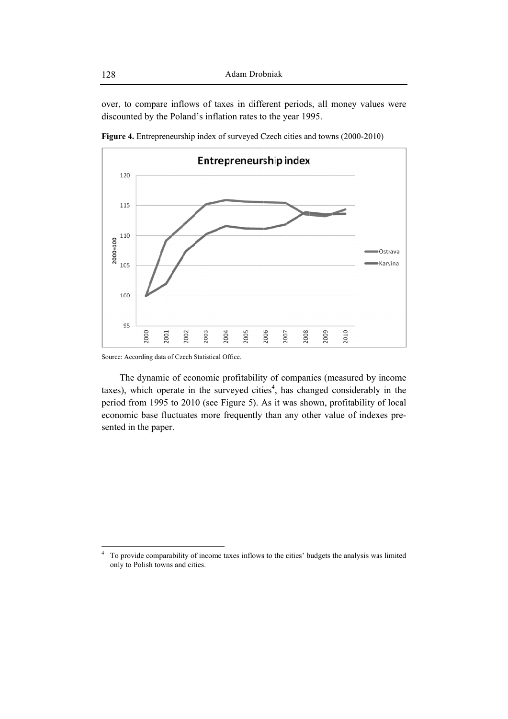over, to compare inflows of taxes in different periods, all money values were discounted by the Poland's inflation rates to the year 1995.



Figure 4. Entrepreneurship index of surveyed Czech cities and towns (2000-2010)

Source: According data of Czech Statistical Office.

The dynamic of economic profitability of companies (measured by income taxes), which operate in the surveyed cities<sup>4</sup>, has changed considerably in the period from 1995 to 2010 (see Figure 5). As it was shown, profitability of local economic base fluctuates more frequently than any other value of indexes presented in the paper.

To provide comparability of income taxes inflows to the cities' budgets the analysis was limited only to Polish towns and cities.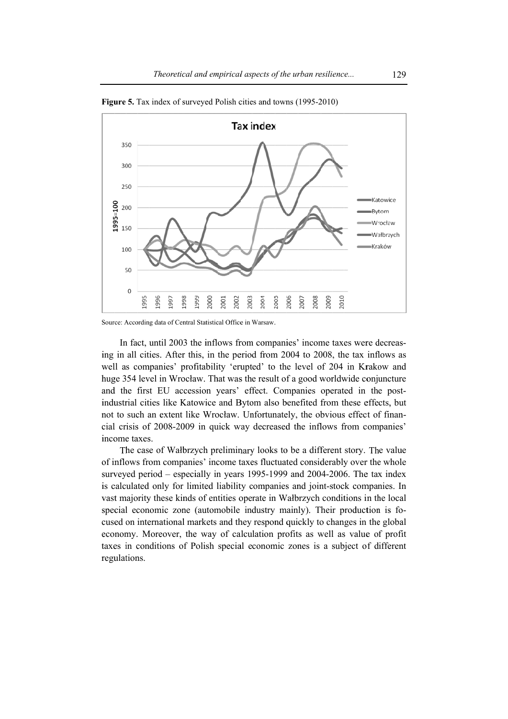

Figure 5. Tax index of surveyed Polish cities and towns (1995-2010)

In fact, until 2003 the inflows from companies' income taxes were decreasing in all cities. After this, in the period from 2004 to 2008, the tax inflows as well as companies' profitability 'erupted' to the level of 204 in Krakow and huge 354 level in Wrocław. That was the result of a good worldwide conjuncture and the first EU accession years' effect. Companies operated in the postindustrial cities like Katowice and Bytom also benefited from these effects, but not to such an extent like Wrocław. Unfortunately, the obvious effect of financial crisis of 2008-2009 in quick way decreased the inflows from companies' income taxes.

The case of Walbrzych preliminary looks to be a different story. The value of inflows from companies' income taxes fluctuated considerably over the whole surveyed period – especially in years 1995-1999 and 2004-2006. The tax index is calculated only for limited liability companies and joint-stock companies. In vast majority these kinds of entities operate in Walbrzych conditions in the local special economic zone (automobile industry mainly). Their production is focused on international markets and they respond quickly to changes in the global economy. Moreover, the way of calculation profits as well as value of profit taxes in conditions of Polish special economic zones is a subject of different regulations.

Source: According data of Central Statistical Office in Warsaw.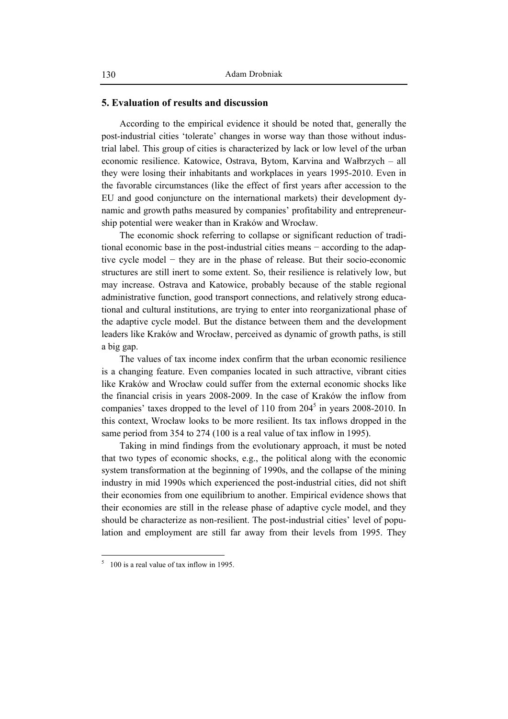# **5. Evaluation of results and discussion**

According to the empirical evidence it should be noted that, generally the post-industrial cities 'tolerate' changes in worse way than those without industrial label. This group of cities is characterized by lack or low level of the urban economic resilience. Katowice, Ostrava, Bytom, Karvina and Wałbrzych – all they were losing their inhabitants and workplaces in years 1995-2010. Even in the favorable circumstances (like the effect of first years after accession to the EU and good conjuncture on the international markets) their development dynamic and growth paths measured by companies' profitability and entrepreneurship potential were weaker than in Kraków and Wrocław.

The economic shock referring to collapse or significant reduction of traditional economic base in the post-industrial cities means − according to the adaptive cycle model − they are in the phase of release. But their socio-economic structures are still inert to some extent. So, their resilience is relatively low, but may increase. Ostrava and Katowice, probably because of the stable regional administrative function, good transport connections, and relatively strong educational and cultural institutions, are trying to enter into reorganizational phase of the adaptive cycle model. But the distance between them and the development leaders like Kraków and Wrocław, perceived as dynamic of growth paths, is still a big gap.

The values of tax income index confirm that the urban economic resilience is a changing feature. Even companies located in such attractive, vibrant cities like Kraków and Wrocław could suffer from the external economic shocks like the financial crisis in years 2008-2009. In the case of Kraków the inflow from companies' taxes dropped to the level of  $110$  from  $204<sup>5</sup>$  in years 2008-2010. In this context, Wrocław looks to be more resilient. Its tax inflows dropped in the same period from 354 to 274 (100 is a real value of tax inflow in 1995).

Taking in mind findings from the evolutionary approach, it must be noted that two types of economic shocks, e.g., the political along with the economic system transformation at the beginning of 1990s, and the collapse of the mining industry in mid 1990s which experienced the post-industrial cities, did not shift their economies from one equilibrium to another. Empirical evidence shows that their economies are still in the release phase of adaptive cycle model, and they should be characterize as non-resilient. The post-industrial cities' level of population and employment are still far away from their levels from 1995. They

 $\overline{a}$ 

 $5\quad 100$  is a real value of tax inflow in 1995.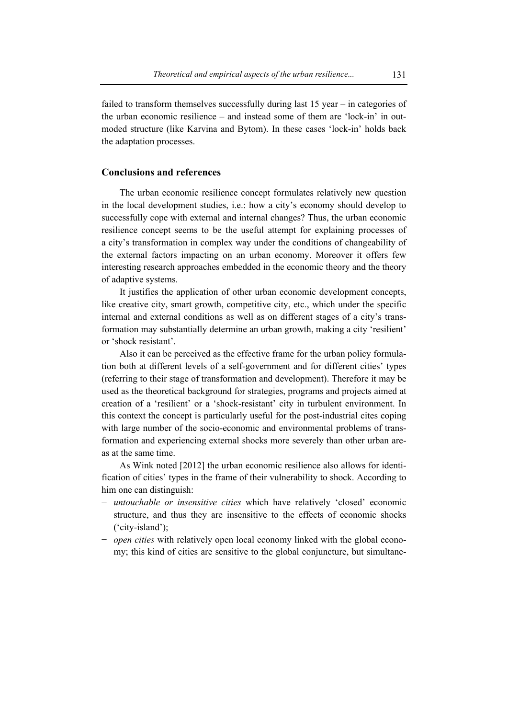failed to transform themselves successfully during last 15 year – in categories of the urban economic resilience – and instead some of them are 'lock-in' in outmoded structure (like Karvina and Bytom). In these cases 'lock-in' holds back the adaptation processes.

# **Conclusions and references**

The urban economic resilience concept formulates relatively new question in the local development studies, i.e.: how a city's economy should develop to successfully cope with external and internal changes? Thus, the urban economic resilience concept seems to be the useful attempt for explaining processes of a city's transformation in complex way under the conditions of changeability of the external factors impacting on an urban economy. Moreover it offers few interesting research approaches embedded in the economic theory and the theory of adaptive systems.

It justifies the application of other urban economic development concepts, like creative city, smart growth, competitive city, etc., which under the specific internal and external conditions as well as on different stages of a city's transformation may substantially determine an urban growth, making a city 'resilient' or 'shock resistant'.

Also it can be perceived as the effective frame for the urban policy formulation both at different levels of a self-government and for different cities' types (referring to their stage of transformation and development). Therefore it may be used as the theoretical background for strategies, programs and projects aimed at creation of a 'resilient' or a 'shock-resistant' city in turbulent environment. In this context the concept is particularly useful for the post-industrial cites coping with large number of the socio-economic and environmental problems of transformation and experiencing external shocks more severely than other urban areas at the same time.

As Wink noted [2012] the urban economic resilience also allows for identification of cities' types in the frame of their vulnerability to shock. According to him one can distinguish:

- − *untouchable or insensitive cities* which have relatively 'closed' economic structure, and thus they are insensitive to the effects of economic shocks ('city-island');
- − *open cities* with relatively open local economy linked with the global economy; this kind of cities are sensitive to the global conjuncture, but simultane-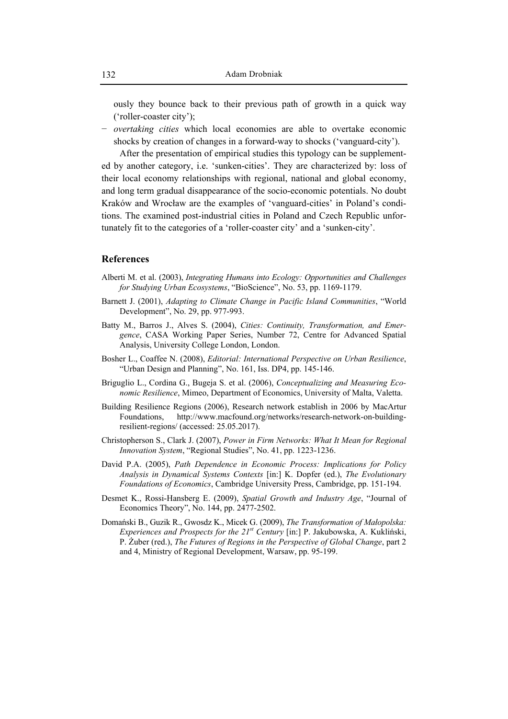ously they bounce back to their previous path of growth in a quick way ('roller-coaster city');

− *overtaking cities* which local economies are able to overtake economic shocks by creation of changes in a forward-way to shocks ('vanguard-city').

After the presentation of empirical studies this typology can be supplemented by another category, i.e. 'sunken-cities'. They are characterized by: loss of their local economy relationships with regional, national and global economy, and long term gradual disappearance of the socio-economic potentials. No doubt Kraków and Wrocław are the examples of 'vanguard-cities' in Poland's conditions. The examined post-industrial cities in Poland and Czech Republic unfortunately fit to the categories of a 'roller-coaster city' and a 'sunken-city'.

# **References**

- Alberti M. et al. (2003), *Integrating Humans into Ecology: Opportunities and Challenges for Studying Urban Ecosystems*, "BioScience", No. 53, pp. 1169-1179.
- Barnett J. (2001), *Adapting to Climate Change in Pacific Island Communities*, "World Development", No. 29, pp. 977-993.
- Batty M., Barros J., Alves S. (2004), *Cities: Continuity, Transformation, and Emergence*, CASA Working Paper Series, Number 72, Centre for Advanced Spatial Analysis, University College London, London.
- Bosher L., Coaffee N. (2008), *Editorial: International Perspective on Urban Resilience*, "Urban Design and Planning", No. 161, Iss. DP4, pp. 145-146.
- Briguglio L., Cordina G., Bugeja S. et al. (2006), *Conceptualizing and Measuring Economic Resilience*, Mimeo, Department of Economics, University of Malta, Valetta.
- Building Resilience Regions (2006), Research network establish in 2006 by MacArtur Foundations, http://www.macfound.org/networks/research-network-on-buildingresilient-regions/ (accessed: 25.05.2017).
- Christopherson S., Clark J. (2007), *Power in Firm Networks: What It Mean for Regional Innovation System*, "Regional Studies", No. 41, pp. 1223-1236.
- David P.A. (2005), *Path Dependence in Economic Process: Implications for Policy Analysis in Dynamical Systems Contexts* [in:] K. Dopfer (ed.), *The Evolutionary Foundations of Economics*, Cambridge University Press, Cambridge, pp. 151-194.
- Desmet K., Rossi-Hansberg E. (2009), *Spatial Growth and Industry Age*, "Journal of Economics Theory", No. 144, pp. 2477-2502.
- Domański B., Guzik R., Gwosdz K., Micek G. (2009), *The Transformation of Małopolska: Experiences and Prospects for the 21st Century* [in:] P. Jakubowska, A. Kukliński, P. Żuber (red.), *The Futures of Regions in the Perspective of Global Change*, part 2 and 4, Ministry of Regional Development, Warsaw, pp. 95-199.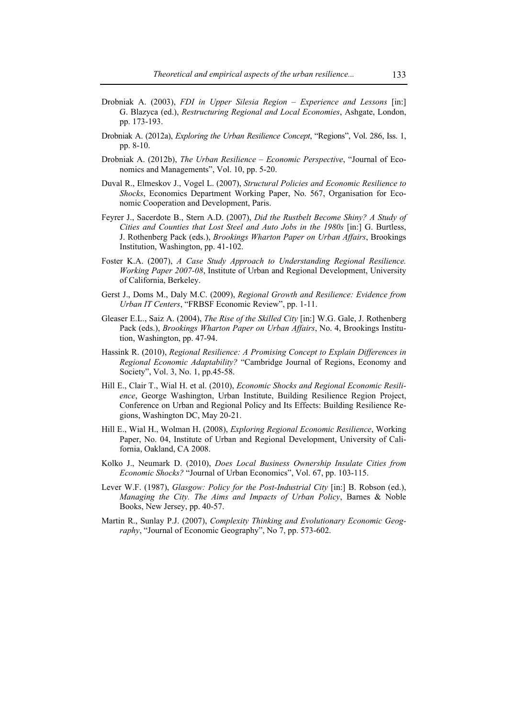- Drobniak A. (2003), *FDI in Upper Silesia Region Experience and Lessons* [in:] G. Blazyca (ed.), *Restructuring Regional and Local Economies*, Ashgate, London, pp. 173-193.
- Drobniak A. (2012a), *Exploring the Urban Resilience Concept*, "Regions", Vol. 286, Iss. 1, pp. 8-10.
- Drobniak A. (2012b), *The Urban Resilience Economic Perspective*, "Journal of Economics and Managements", Vol. 10, pp. 5-20.
- Duval R., Elmeskov J., Vogel L. (2007), *Structural Policies and Economic Resilience to Shocks*, Economics Department Working Paper, No. 567, Organisation for Economic Cooperation and Development, Paris.
- Feyrer J., Sacerdote B., Stern A.D. (2007), *Did the Rustbelt Become Shiny? A Study of Cities and Counties that Lost Steel and Auto Jobs in the 1980s* [in:] G. Burtless, J. Rothenberg Pack (eds.), *Brookings Wharton Paper on Urban Affairs*, Brookings Institution, Washington, pp. 41-102.
- Foster K.A. (2007), *A Case Study Approach to Understanding Regional Resilience. Working Paper 2007-08*, Institute of Urban and Regional Development, University of California, Berkeley.
- Gerst J., Doms M., Daly M.C. (2009), *Regional Growth and Resilience: Evidence from Urban IT Centers*, "FRBSF Economic Review", pp. 1-11.
- Gleaser E.L., Saiz A. (2004), *The Rise of the Skilled City* [in:] W.G. Gale, J. Rothenberg Pack (eds.), *Brookings Wharton Paper on Urban Affairs*, No. 4, Brookings Institution, Washington, pp. 47-94.
- Hassink R. (2010), *Regional Resilience: A Promising Concept to Explain Differences in Regional Economic Adaptability?* "Cambridge Journal of Regions, Economy and Society", Vol. 3, No. 1, pp.45-58.
- Hill E., Clair T., Wial H. et al. (2010), *Economic Shocks and Regional Economic Resilience*, George Washington, Urban Institute, Building Resilience Region Project, Conference on Urban and Regional Policy and Its Effects: Building Resilience Regions, Washington DC, May 20-21.
- Hill E., Wial H., Wolman H. (2008), *Exploring Regional Economic Resilience*, Working Paper, No. 04, Institute of Urban and Regional Development, University of California, Oakland, CA 2008.
- Kolko J., Neumark D. (2010), *Does Local Business Ownership Insulate Cities from Economic Shocks?* "Journal of Urban Economics", Vol. 67, pp. 103-115.
- Lever W.F. (1987), *Glasgow: Policy for the Post-Industrial City* [in:] B. Robson (ed.), *Managing the City. The Aims and Impacts of Urban Policy*, Barnes & Noble Books, New Jersey, pp. 40-57.
- Martin R., Sunlay P.J. (2007), *Complexity Thinking and Evolutionary Economic Geography*, "Journal of Economic Geography", No 7, pp. 573-602.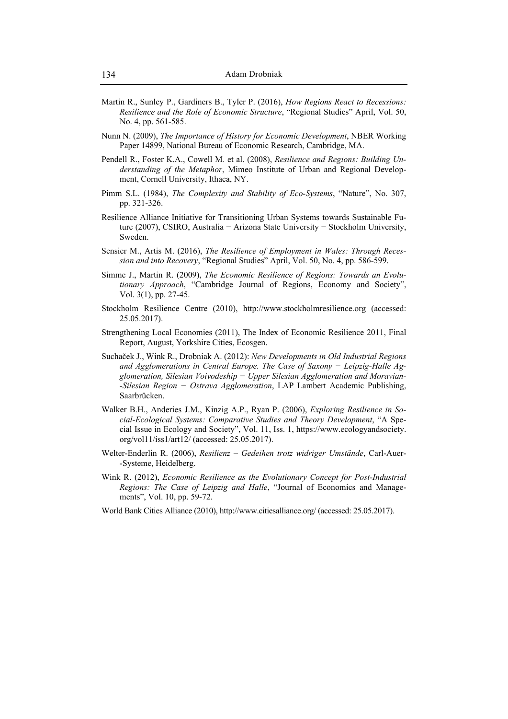- Martin R., Sunley P., Gardiners B., Tyler P. (2016), *How Regions React to Recessions: Resilience and the Role of Economic Structure*, "Regional Studies" April, Vol. 50, No. 4, pp. 561-585.
- Nunn N. (2009), *The Importance of History for Economic Development*, NBER Working Paper 14899, National Bureau of Economic Research, Cambridge, MA.
- Pendell R., Foster K.A., Cowell M. et al. (2008), *Resilience and Regions: Building Understanding of the Metaphor*, Mimeo Institute of Urban and Regional Development, Cornell University, Ithaca, NY.
- Pimm S.L. (1984), *The Complexity and Stability of Eco-Systems*, "Nature", No. 307, pp. 321-326.
- Resilience Alliance Initiative for Transitioning Urban Systems towards Sustainable Future (2007), CSIRO, Australia − Arizona State University − Stockholm University, Sweden.
- Sensier M., Artis M. (2016), *The Resilience of Employment in Wales: Through Recession and into Recovery*, "Regional Studies" April, Vol. 50, No. 4, pp. 586-599.
- Simme J., Martin R. (2009), *The Economic Resilience of Regions: Towards an Evolutionary Approach*, "Cambridge Journal of Regions, Economy and Society", Vol. 3(1), pp. 27-45.
- Stockholm Resilience Centre (2010), http://www.stockholmresilience.org (accessed: 25.05.2017).
- Strengthening Local Economies (2011), The Index of Economic Resilience 2011, Final Report, August, Yorkshire Cities, Ecosgen.
- Suchaček J., Wink R., Drobniak A. (2012): *New Developments in Old Industrial Regions and Agglomerations in Central Europe. The Case of Saxony − Leipzig-Halle Agglomeration, Silesian Voivodeship − Upper Silesian Agglomeration and Moravian- -Silesian Region − Ostrava Agglomeration*, LAP Lambert Academic Publishing, Saarbrücken.
- Walker B.H., Anderies J.M., Kinzig A.P., Ryan P. (2006), *Exploring Resilience in Social-Ecological Systems: Comparative Studies and Theory Development*, "A Special Issue in Ecology and Society", Vol. 11, Iss. 1, https://www.ecologyandsociety. org/vol11/iss1/art12/ (accessed: 25.05.2017).
- Welter-Enderlin R. (2006), *Resilienz Gedeihen trotz widriger Umstände*, Carl-Auer- -Systeme, Heidelberg.
- Wink R. (2012), *Economic Resilience as the Evolutionary Concept for Post-Industrial Regions: The Case of Leipzig and Halle*, "Journal of Economics and Managements", Vol. 10, pp. 59-72.
- World Bank Cities Alliance (2010), http://www.citiesalliance.org/ (accessed: 25.05.2017).